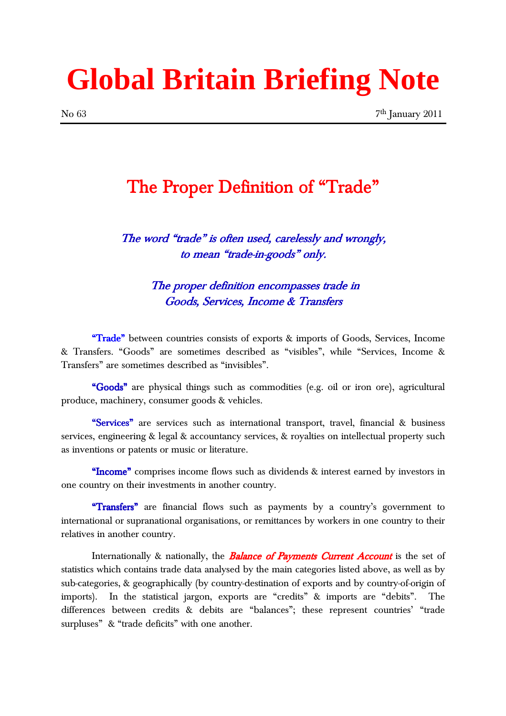# **Global Britain Briefing Note**

### The Proper Definition of "Trade"

The word "trade" is often used, carelessly and wrongly, to mean "trade-in-goods" only.

> The proper definition encompasses trade in Goods, Services, Income & Transfers

"Trade‰ between countries consists of exports & imports of Goods, Services, Income & Transfers. "Goods" are sometimes described as "visibles", while "Services, Income & Transfers" are sometimes described as "invisibles".

"Goods" are physical things such as commodities (e.g. oil or iron ore), agricultural produce, machinery, consumer goods & vehicles.

"Services" are services such as international transport, travel, financial & business services, engineering & legal & accountancy services, & royalties on intellectual property such as inventions or patents or music or literature.

"Income" comprises income flows such as dividends & interest earned by investors in one country on their investments in another country.

"Transfers" are financial flows such as payments by a country's government to international or supranational organisations, or remittances by workers in one country to their relatives in another country.

Internationally & nationally, the **Balance of Payments Current Account** is the set of statistics which contains trade data analysed by the main categories listed above, as well as by sub-categories, & geographically (by country-destination of exports and by country-of-origin of imports). In the statistical jargon, exports are "credits" & imports are "debits". The differences between credits & debits are "balances"; these represent countries' "trade surpluses" & "trade deficits" with one another.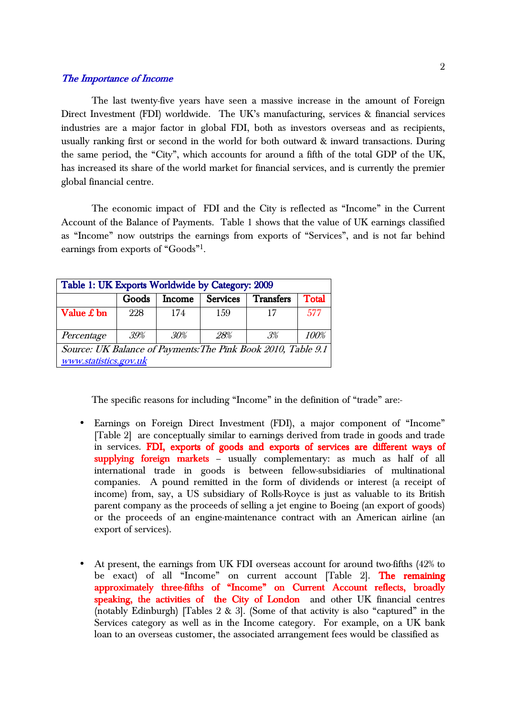#### The Importance of Income

 The last twenty-five years have seen a massive increase in the amount of Foreign Direct Investment (FDI) worldwide. The UK's manufacturing, services & financial services industries are a major factor in global FDI, both as investors overseas and as recipients, usually ranking first or second in the world for both outward & inward transactions. During the same period, the "City", which accounts for around a fifth of the total GDP of the UK, has increased its share of the world market for financial services, and is currently the premier global financial centre.

The economic impact of FDI and the City is reflected as "Income" in the Current Account of the Balance of Payments. Table 1 shows that the value of UK earnings classified as "Income" now outstrips the earnings from exports of "Services", and is not far behind earnings from exports of "Goods"<sup>1</sup>.

| Table 1: UK Exports Worldwide by Category: 2009                                        |       |               |                 |                  |               |  |
|----------------------------------------------------------------------------------------|-------|---------------|-----------------|------------------|---------------|--|
|                                                                                        | Goods | <b>Income</b> | <b>Services</b> | <b>Transfers</b> | <b>T</b> otal |  |
| Value $\pounds$ bn                                                                     | 228   | 174           | 1.59            |                  | 577           |  |
| Percentage                                                                             | 39%   | 30%           | 28%             | $.3\%$           | 100%          |  |
| Source: UK Balance of Payments: The Pink Book 2010, Table 9.1<br>www.statistics.gov.uk |       |               |                 |                  |               |  |

The specific reasons for including "Income" in the definition of "trade" are:-

- Earnings on Foreign Direct Investment (FDI), a major component of "Income" [Table 2] are conceptually similar to earnings derived from trade in goods and trade in services. FDI, exports of goods and exports of services are different ways of supplying foreign markets - usually complementary: as much as half of all international trade in goods is between fellow-subsidiaries of multinational companies. A pound remitted in the form of dividends or interest (a receipt of income) from, say, a US subsidiary of Rolls-Royce is just as valuable to its British parent company as the proceeds of selling a jet engine to Boeing (an export of goods) or the proceeds of an engine-maintenance contract with an American airline (an export of services).
- At present, the earnings from UK FDI overseas account for around two-fifths (42% to be exact) of all "Income" on current account [Table 2]. The remaining approximately three-fifths of "Income" on Current Account reflects, broadly speaking, the activities of the City of London and other UK financial centres (notably Edinburgh) [Tables  $2 \& 3$ ]. (Some of that activity is also "captured" in the Services category as well as in the Income category. For example, on a UK bank loan to an overseas customer, the associated arrangement fees would be classified as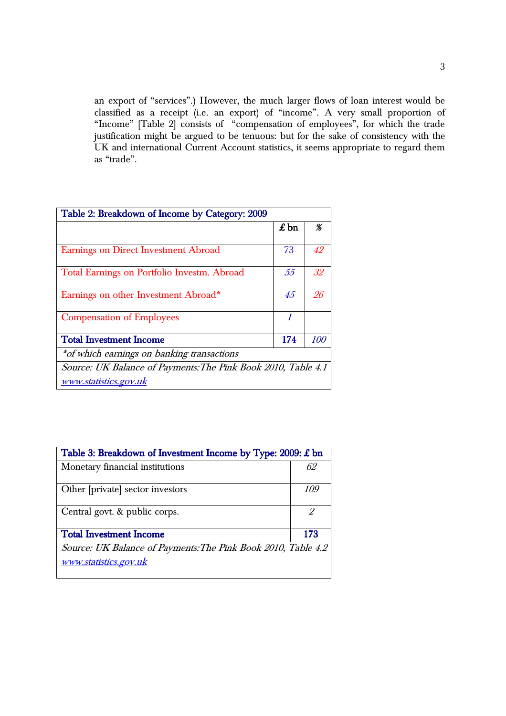an export of "services".) However, the much larger flows of loan interest would be classified as a receipt (i.e. an export) of "income". A very small proportion of "Income" [Table 2] consists of "compensation of employees", for which the trade justification might be argued to be tenuous: but for the sake of consistency with the UK and international Current Account statistics, it seems appropriate to regard them as "trade".

| Table 2: Breakdown of Income by Category: 2009                                         |              |     |  |  |  |
|----------------------------------------------------------------------------------------|--------------|-----|--|--|--|
|                                                                                        | $\pounds$ bn | %   |  |  |  |
| Earnings on Direct Investment Abroad                                                   | 73           | 42  |  |  |  |
| Total Earnings on Portfolio Investm. Abroad                                            | .55          | 32  |  |  |  |
| Earnings on other Investment Abroad*                                                   | 4.5          | 96  |  |  |  |
| <b>Compensation of Employees</b>                                                       | 1            |     |  |  |  |
| <b>Total Investment Income</b>                                                         | 174          | 100 |  |  |  |
| *of which earnings on banking transactions                                             |              |     |  |  |  |
| Source: UK Balance of Payments: The Pink Book 2010, Table 4.1<br>www.statistics.gov.uk |              |     |  |  |  |

| Table 3: Breakdown of Investment Income by Type: $2009$ : £ bn                         |     |  |  |  |
|----------------------------------------------------------------------------------------|-----|--|--|--|
| Monetary financial institutions                                                        | 62  |  |  |  |
| Other [private] sector investors                                                       | 109 |  |  |  |
| Central govt. & public corps.                                                          | 2   |  |  |  |
| <b>Total Investment Income</b>                                                         | 173 |  |  |  |
| Source: UK Balance of Payments: The Pink Book 2010, Table 4.2<br>www.statistics.gov.uk |     |  |  |  |
|                                                                                        |     |  |  |  |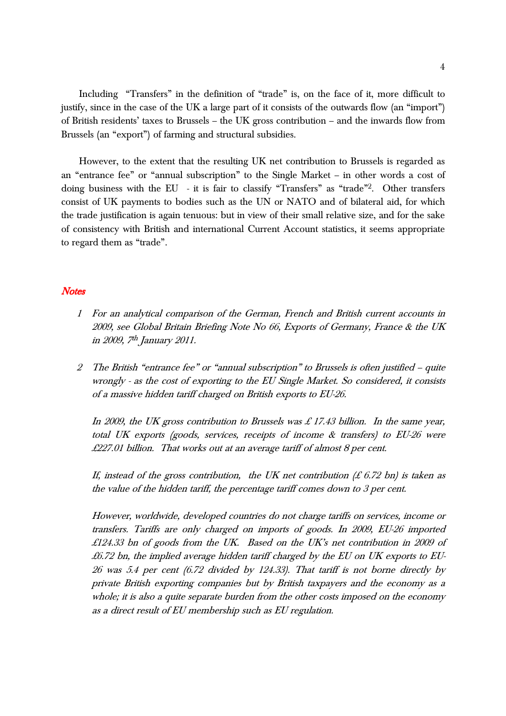Including "Transfers" in the definition of "trade" is, on the face of it, more difficult to justify, since in the case of the UK a large part of it consists of the outwards flow (an "import") of British residents' taxes to Brussels – the UK gross contribution – and the inwards flow from Brussels (an "export") of farming and structural subsidies.

However, to the extent that the resulting UK net contribution to Brussels is regarded as an "entrance fee" or "annual subscription" to the Single Market – in other words a cost of doing business with the EU - it is fair to classify "Transfers" as "trade"<sup>2</sup>. Other transfers consist of UK payments to bodies such as the UN or NATO and of bilateral aid, for which the trade justification is again tenuous: but in view of their small relative size, and for the sake of consistency with British and international Current Account statistics, it seems appropriate to regard them as "trade".

#### **Notes**

- <sup>1</sup> For an analytical comparison of the German, French and British current accounts in 2009, see Global Britain Briefing Note No 66, Exports of Germany, France & the UK in 2009, 7<sup>th</sup> January 2011.
- 2 The British "entrance fee" or "annual subscription" to Brussels is often justified quite wrongly - as the cost of exporting to the EU Single Market. So considered, it consists of a massive hidden tariff charged on British exports to EU-26.

In 2009, the UK gross contribution to Brussels was £ 17.43 billion. In the same year, total UK exports (goods, services, receipts of income & transfers) to EU-26 were £227.01 billion. That works out at an average tariff of almost 8 per cent.

If, instead of the gross contribution, the UK net contribution  $(E 6.72$  bn) is taken as the value of the hidden tariff, the percentage tariff comes down to 3 per cent.

However, worldwide, developed countries do not charge tariffs on services, income or transfers. Tariffs are only charged on imports of goods. In 2009, EU-26 imported £124.33 bn of goods from the UK. Based on the UK's net contribution in 2009 of  $£6.72$  bn, the implied average hidden tariff charged by the EU on UK exports to EU-26 was 5.4 per cent (6.72 divided by 124.33). That tariff is not borne directly by private British exporting companies but by British taxpayers and the economy as a whole; it is also a quite separate burden from the other costs imposed on the economy as a direct result of EU membership such as EU regulation.